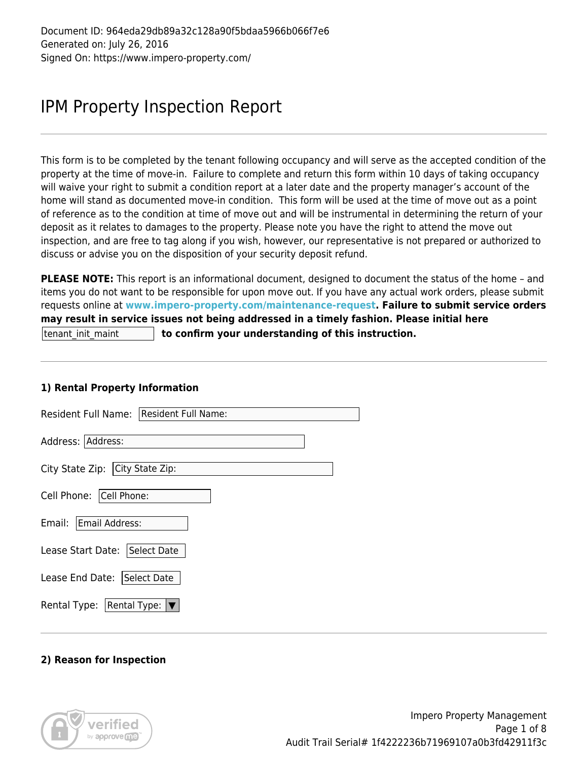# IPM Property Inspection Report

This form is to be completed by the tenant following occupancy and will serve as the accepted condition of the property at the time of move-in. Failure to complete and return this form within 10 days of taking occupancy will waive your right to submit a condition report at a later date and the property manager's account of the home will stand as documented move-in condition. This form will be used at the time of move out as a point of reference as to the condition at time of move out and will be instrumental in determining the return of your deposit as it relates to damages to the property. Please note you have the right to attend the move out inspection, and are free to tag along if you wish, however, our representative is not prepared or authorized to discuss or advise you on the disposition of your security deposit refund.

**PLEASE NOTE:** This report is an informational document, designed to document the status of the home – and items you do not want to be responsible for upon move out. If you have any actual work orders, please submit requests online at **[www.impero-property.com/maintenance-request](http://www.impero-property.com/maintenance-request). Failure to submit service orders may result in service issues not being addressed in a timely fashion. Please initial here**  tenant\_init\_maint **to confirm your understanding of this instruction.** 

#### **1) Rental Property Information**

| Resident Full Name: Resident Full Name: |
|-----------------------------------------|
| Address: Address:                       |
| City State Zip: City State Zip:         |
| Cell Phone: Cell Phone:                 |
| Email:<br>Email Address:                |
| Lease Start Date: Select Date           |
| Lease End Date: Select Date             |
| Rental Type: $ \nabla$<br>Rental Type:  |

#### **2) Reason for Inspection**

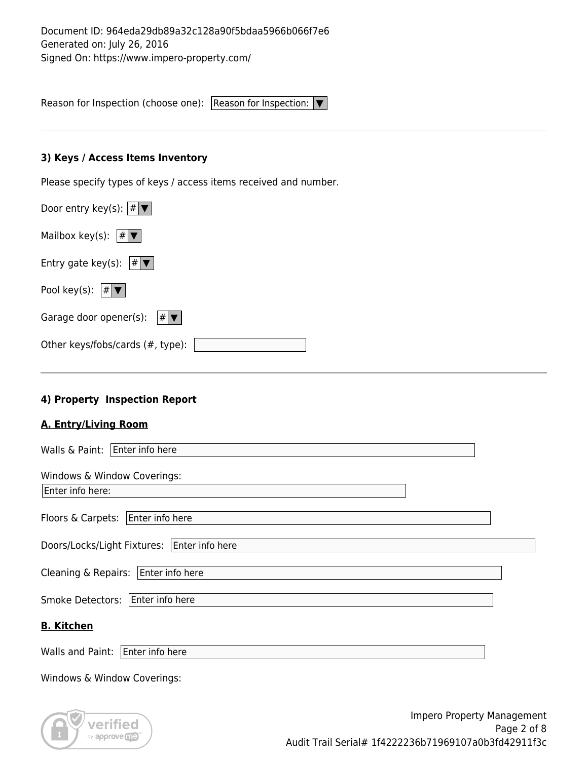Reason for Inspection (choose one): Reason for Inspection: ▼

#### **3) Keys / Access Items Inventory**

Please specify types of keys / access items received and number.

| Door entry key(s): $ \# \blacktriangledown $                        |
|---------------------------------------------------------------------|
| Mailbox key(s): $ # \blacktriangledown $                            |
| Entry gate key(s): $ # \blacktriangledown $                         |
| Pool key(s): $ # \blacktriangledown $                               |
| Garage door opener(s):<br>$\vert \# \vert \blacktriangledown \vert$ |
| Other keys/fobs/cards (#, type):                                    |

## **4) Property Inspection Report**

#### **A. Entry/Living Room**

| Walls & Paint:<br>Enter info here           |  |
|---------------------------------------------|--|
| Windows & Window Coverings:                 |  |
| Enter info here:                            |  |
| Enter info here<br>Floors & Carpets:        |  |
| Doors/Locks/Light Fixtures: Enter info here |  |
| Enter info here<br>Cleaning & Repairs:      |  |
| <b>Smoke Detectors:</b><br>Enter info here  |  |
| <b>B. Kitchen</b>                           |  |
| Walls and Paint:<br>Enter info here         |  |
| Windows & Window Coverings:                 |  |



Impero Property Management Page 2 of 8 Audit Trail Serial# 1f4222236b71969107a0b3fd42911f3c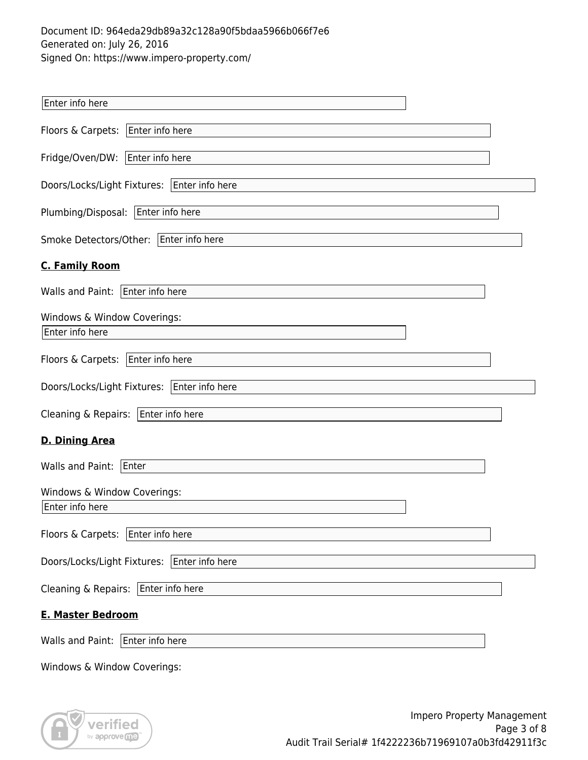| Enter info here                                |
|------------------------------------------------|
| Floors & Carpets:   Enter info here            |
| Fridge/Oven/DW: Enter info here                |
| Doors/Locks/Light Fixtures:   Enter info here  |
| Plumbing/Disposal: Enter info here             |
| Smoke Detectors/Other: Enter info here         |
| <b>C. Family Room</b>                          |
| Walls and Paint: Enter info here               |
| Windows & Window Coverings:<br>Enter info here |
| Floors & Carpets:<br>Enter info here           |
| Doors/Locks/Light Fixtures:   Enter info here  |
| Cleaning & Repairs: Enter info here            |
| <b>D. Dining Area</b>                          |
| Walls and Paint:<br>Enter                      |
| Windows & Window Coverings:<br>Enter info here |
| Floors & Carpets: Enter info here              |
| Doors/Locks/Light Fixtures:   Enter info here  |
| Cleaning & Repairs: Enter info here            |
| <b>E. Master Bedroom</b>                       |
| Walls and Paint:   Enter info here             |
| Windows & Window Coverings:                    |



Impero Property Management Page 3 of 8 Audit Trail Serial# 1f4222236b71969107a0b3fd42911f3c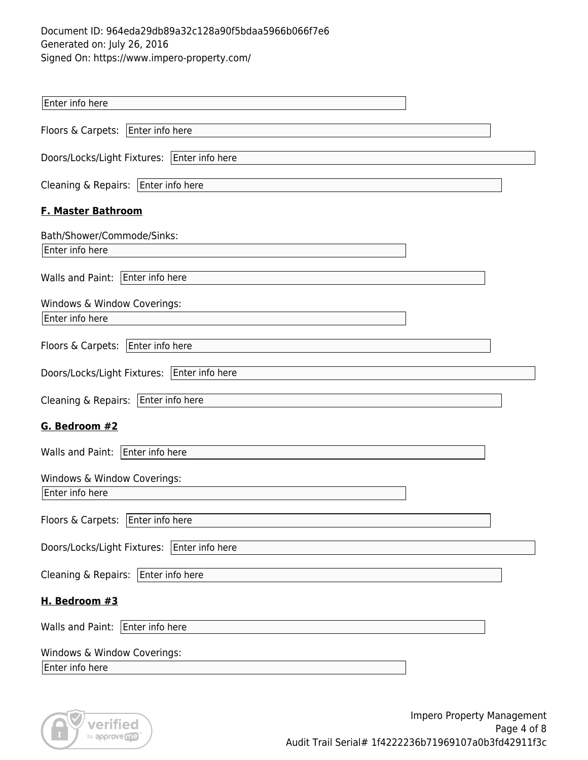| Enter info here                                |
|------------------------------------------------|
| Floors & Carpets: Enter info here              |
| Doors/Locks/Light Fixtures:   Enter info here  |
| Cleaning & Repairs: $ $ Enter info here        |
| <b>F. Master Bathroom</b>                      |
| Bath/Shower/Commode/Sinks:                     |
| Enter info here                                |
| Walls and Paint: Enter info here               |
| Windows & Window Coverings:<br>Enter info here |
| Floors & Carpets: Enter info here              |
| Doors/Locks/Light Fixtures:   Enter info here  |
| Cleaning & Repairs: Enter info here            |
| G. Bedroom #2                                  |
| Walls and Paint:   Enter info here             |
| Windows & Window Coverings:                    |
| Enter info here                                |
| Floors & Carpets:   Enter info here            |
| Doors/Locks/Light Fixtures: Enter info here    |
| Cleaning & Repairs: $ $ Enter info here        |
| H. Bedroom #3                                  |
| Walls and Paint: Enter info here               |
| Windows & Window Coverings:                    |
| Enter info here                                |

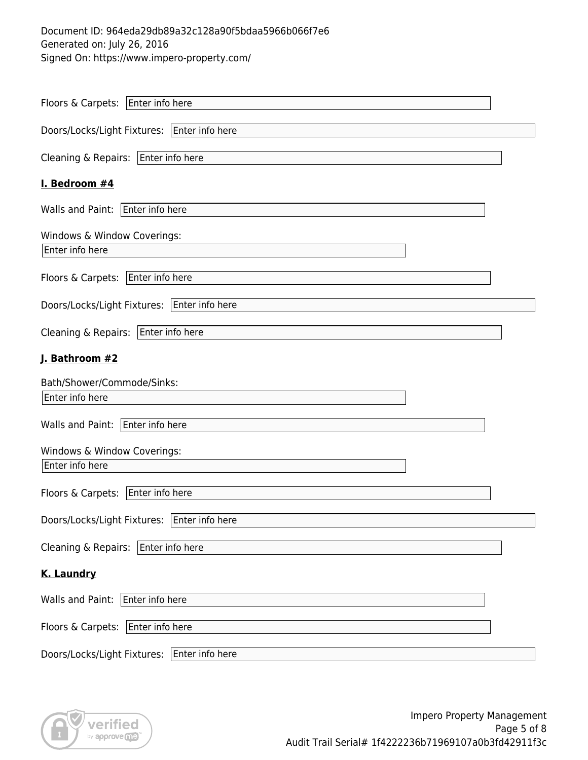| Floors & Carpets: Enter info here              |
|------------------------------------------------|
| Doors/Locks/Light Fixtures:   Enter info here  |
| Cleaning & Repairs:<br>Enter info here         |
| I. Bedroom #4                                  |
| Walls and Paint: Enter info here               |
| Windows & Window Coverings:                    |
| Enter info here                                |
| Enter info here<br>Floors & Carpets:           |
| Enter info here<br>Doors/Locks/Light Fixtures: |
| Cleaning & Repairs: Enter info here            |
| J. Bathroom #2                                 |
| Bath/Shower/Commode/Sinks:                     |
| Enter info here                                |
| Walls and Paint: Enter info here               |
| Windows & Window Coverings:                    |
| Enter info here                                |
| Floors & Carpets:<br>Enter info here           |
| Doors/Locks/Light Fixtures:   Enter info here  |
| Cleaning & Repairs: Enter info here            |
| <b>K. Laundry</b>                              |
| Walls and Paint:<br>Enter info here            |
| Floors & Carpets: Enter info here              |
| Doors/Locks/Light Fixtures:<br>Enter info here |

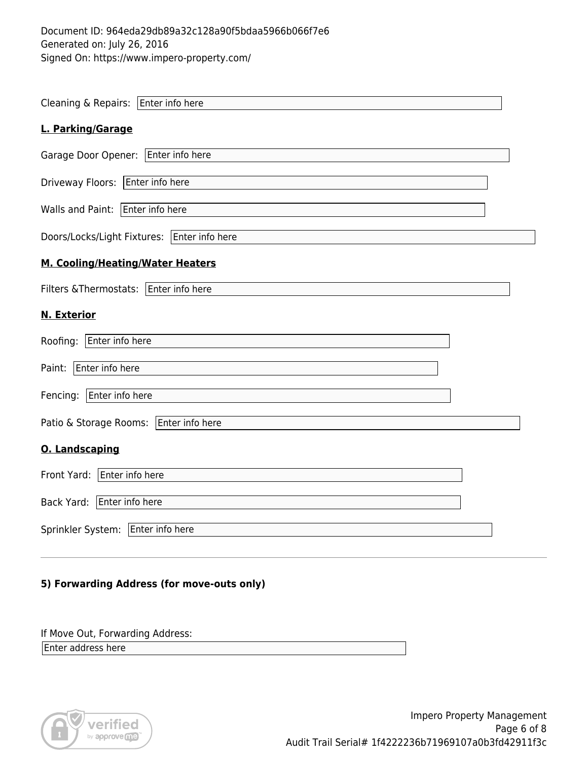| Cleaning & Repairs: Enter info here           |
|-----------------------------------------------|
| L. Parking/Garage                             |
| Garage Door Opener:   Enter info here         |
| Enter info here<br>Driveway Floors:           |
| Walls and Paint: Enter info here              |
| Doors/Locks/Light Fixtures:   Enter info here |
| M. Cooling/Heating/Water Heaters              |
| Filters & Thermostats:   Enter info here      |
| <b>N. Exterior</b>                            |
| Roofing: Enter info here                      |
| Enter info here<br>Paint:                     |
| Fencing:<br>Enter info here                   |
| Patio & Storage Rooms: Enter info here        |
| <b>O. Landscaping</b>                         |
| Front Yard: Enter info here                   |
| Back Yard: Enter info here                    |
| Sprinkler System: Enter info here             |
|                                               |

### **5) Forwarding Address (for move-outs only)**

If Move Out, Forwarding Address:

Enter address here

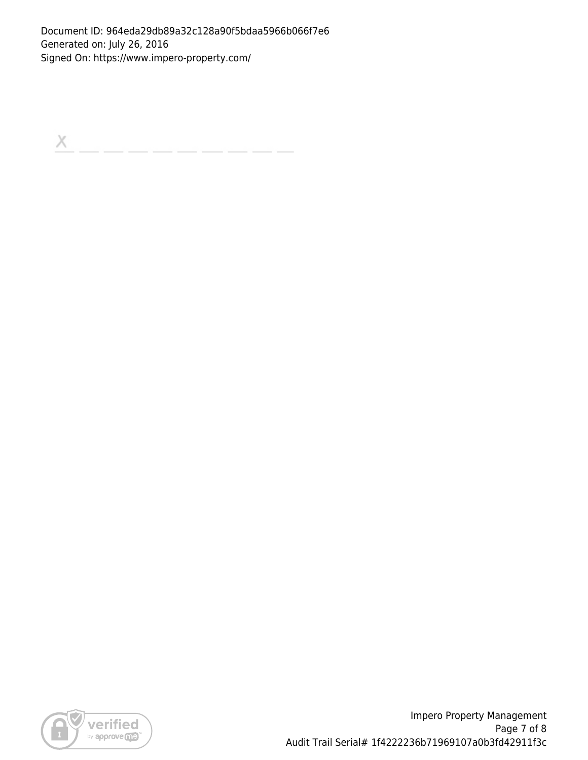$\boldsymbol{\times}$ 



Impero Property Management Page 7 of 8 Audit Trail Serial# 1f4222236b71969107a0b3fd42911f3c